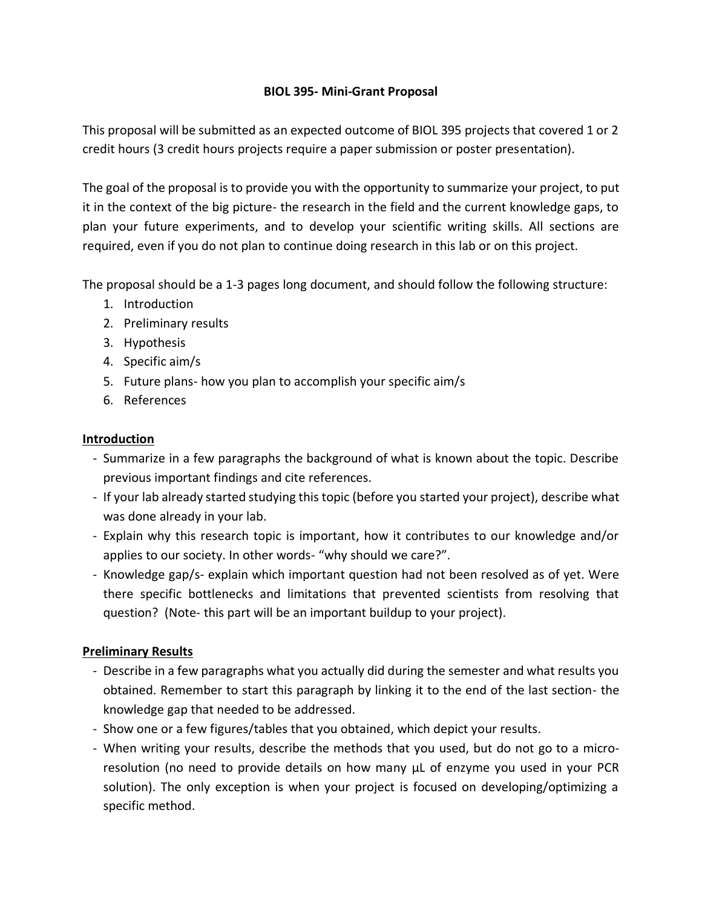#### **BIOL 395- Mini-Grant Proposal**

This proposal will be submitted as an expected outcome of BIOL 395 projects that covered 1 or 2 credit hours (3 credit hours projects require a paper submission or poster presentation).

The goal of the proposal is to provide you with the opportunity to summarize your project, to put it in the context of the big picture- the research in the field and the current knowledge gaps, to plan your future experiments, and to develop your scientific writing skills. All sections are required, even if you do not plan to continue doing research in this lab or on this project.

The proposal should be a 1-3 pages long document, and should follow the following structure:

- 1. Introduction
- 2. Preliminary results
- 3. Hypothesis
- 4. Specific aim/s
- 5. Future plans- how you plan to accomplish your specific aim/s
- 6. References

#### **Introduction**

- Summarize in a few paragraphs the background of what is known about the topic. Describe previous important findings and cite references.
- If your lab already started studying this topic (before you started your project), describe what was done already in your lab.
- Explain why this research topic is important, how it contributes to our knowledge and/or applies to our society. In other words- "why should we care?".
- Knowledge gap/s- explain which important question had not been resolved as of yet. Were there specific bottlenecks and limitations that prevented scientists from resolving that question? (Note- this part will be an important buildup to your project).

## **Preliminary Results**

- Describe in a few paragraphs what you actually did during the semester and what results you obtained. Remember to start this paragraph by linking it to the end of the last section- the knowledge gap that needed to be addressed.
- Show one or a few figures/tables that you obtained, which depict your results.
- When writing your results, describe the methods that you used, but do not go to a microresolution (no need to provide details on how many μL of enzyme you used in your PCR solution). The only exception is when your project is focused on developing/optimizing a specific method.